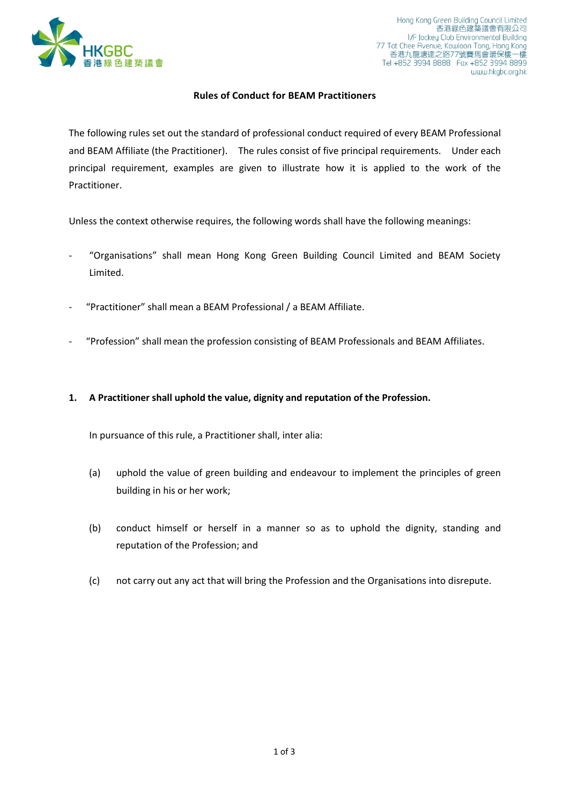

## **Rules of Conduct for BEAM Practitioners**

The following rules set out the standard of professional conduct required of every BEAM Professional and BEAM Affiliate (the Practitioner). The rules consist of five principal requirements. Under each principal requirement, examples are given to illustrate how it is applied to the work of the Practitioner.

Unless the context otherwise requires, the following words shall have the following meanings:

- "Organisations" shall mean Hong Kong Green Building Council Limited and BEAM Society Limited.
- "Practitioner" shall mean a BEAM Professional / a BEAM Affiliate.
- "Profession" shall mean the profession consisting of BEAM Professionals and BEAM Affiliates.
- **1. A Practitioner shall uphold the value, dignity and reputation of the Profession.**

In pursuance of this rule, a Practitioner shall, inter alia:

- (a) uphold the value of green building and endeavour to implement the principles of green building in his or her work;
- (b) conduct himself or herself in a manner so as to uphold the dignity, standing and reputation of the Profession; and
- (c) not carry out any act that will bring the Profession and the Organisations into disrepute.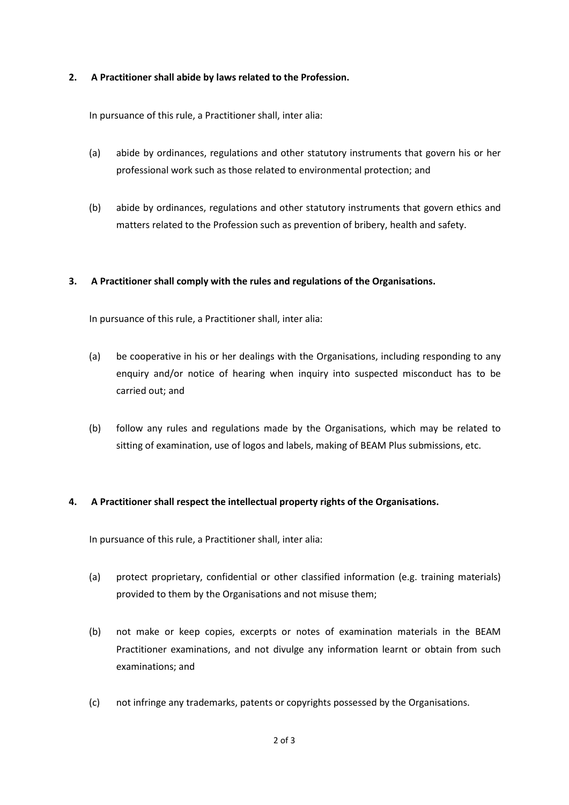## **2. A Practitioner shall abide by laws related to the Profession.**

In pursuance of this rule, a Practitioner shall, inter alia:

- (a) abide by ordinances, regulations and other statutory instruments that govern his or her professional work such as those related to environmental protection; and
- (b) abide by ordinances, regulations and other statutory instruments that govern ethics and matters related to the Profession such as prevention of bribery, health and safety.

# **3. A Practitioner shall comply with the rules and regulations of the Organisations.**

In pursuance of this rule, a Practitioner shall, inter alia:

- (a) be cooperative in his or her dealings with the Organisations, including responding to any enquiry and/or notice of hearing when inquiry into suspected misconduct has to be carried out; and
- (b) follow any rules and regulations made by the Organisations, which may be related to sitting of examination, use of logos and labels, making of BEAM Plus submissions, etc.

#### **4. A Practitioner shall respect the intellectual property rights of the Organisations.**

In pursuance of this rule, a Practitioner shall, inter alia:

- (a) protect proprietary, confidential or other classified information (e.g. training materials) provided to them by the Organisations and not misuse them;
- (b) not make or keep copies, excerpts or notes of examination materials in the BEAM Practitioner examinations, and not divulge any information learnt or obtain from such examinations; and
- (c) not infringe any trademarks, patents or copyrights possessed by the Organisations.